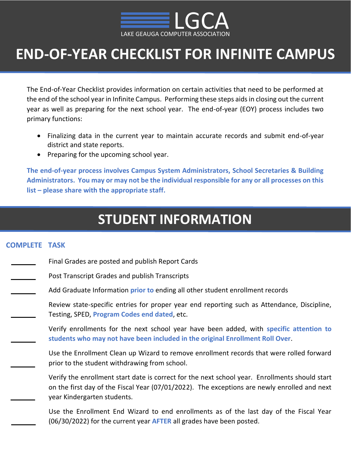

# **END-OF-YEAR CHECKLIST FOR INFINITE CAMPUS**

The End-of-Year Checklist provides information on certain activities that need to be performed at the end of the school year in Infinite Campus. Performing these steps aids in closing out the current year as well as preparing for the next school year. The end-of-year (EOY) process includes two primary functions:

- Finalizing data in the current year to maintain accurate records and submit end-of-year district and state reports.
- Preparing for the upcoming school year.

**The end-of-year process involves Campus System Administrators, School Secretaries & Building Administrators. You may or may not be the individual responsible for any or all processes on this list – please share with the appropriate staff.** 

### **STUDENT INFORMATION**

#### **COMPLETE TASK**

- Final Grades are posted and publish Report Cards
	- Post Transcript Grades and publish Transcripts
		- Add Graduate Information **prior to** ending all other student enrollment records

Review state-specific entries for proper year end reporting such as Attendance, Discipline, Testing, SPED, **Program Codes end dated**, etc.

Verify enrollments for the next school year have been added, with **specific attention to students who may not have been included in the original Enrollment Roll Over**.

Use the Enrollment Clean up Wizard to remove enrollment records that were rolled forward prior to the student withdrawing from school.

Verify the enrollment start date is correct for the next school year. Enrollments should start on the first day of the Fiscal Year (07/01/2022). The exceptions are newly enrolled and next year Kindergarten students.

Use the Enrollment End Wizard to end enrollments as of the last day of the Fiscal Year (06/30/2022) for the current year **AFTER** all grades have been posted.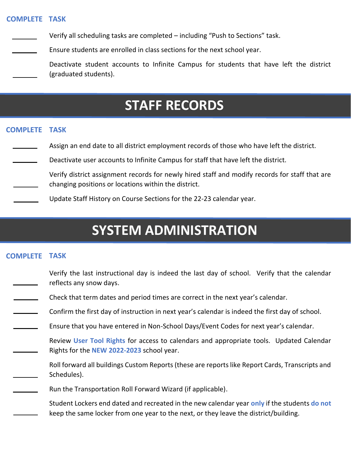#### **COMPLETE TASK**

Verify all scheduling tasks are completed – including "Push to Sections" task.

Ensure students are enrolled in class sections for the next school year.

Deactivate student accounts to Infinite Campus for students that have left the district (graduated students).

### **STAFF RECORDS**

#### **COMPLETE TASK**

- Assign an end date to all district employment records of those who have left the district.
- Deactivate user accounts to Infinite Campus for staff that have left the district.

Verify district assignment records for newly hired staff and modify records for staff that are changing positions or locations within the district.

Update Staff History on Course Sections for the 22-23 calendar year.

## **SYSTEM ADMINISTRATION**

#### **COMPLETE TASK**

- Verify the last instructional day is indeed the last day of school. Verify that the calendar reflects any snow days.
- Check that term dates and period times are correct in the next year's calendar.
- Confirm the first day of instruction in next year's calendar is indeed the first day of school.
- Ensure that you have entered in Non-School Days/Event Codes for next year's calendar.

Review **User Tool Rights** for access to calendars and appropriate tools. Updated Calendar Rights for the **NEW 2022-2023** school year.

- Roll forward all buildings Custom Reports (these are reports like Report Cards, Transcripts and Schedules).
- Run the Transportation Roll Forward Wizard (if applicable).
	- Student Lockers end dated and recreated in the new calendar year **only** if the students **do not** keep the same locker from one year to the next, or they leave the district/building.